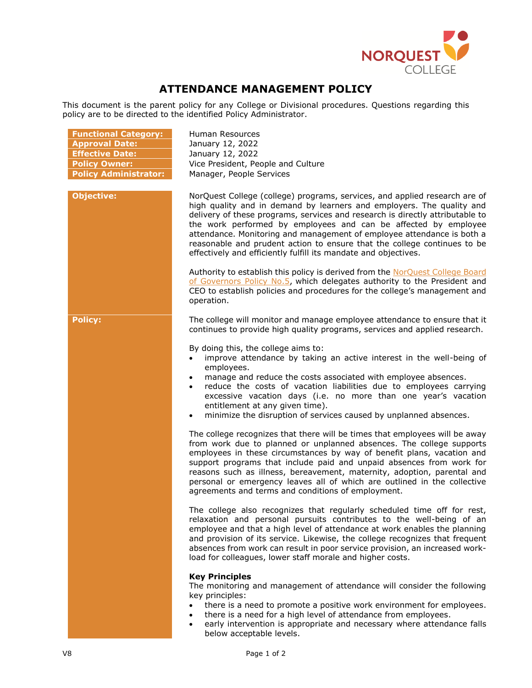

## **ATTENDANCE MANAGEMENT POLICY**

This document is the parent policy for any College or Divisional procedures. Questions regarding this policy are to be directed to the identified Policy Administrator.